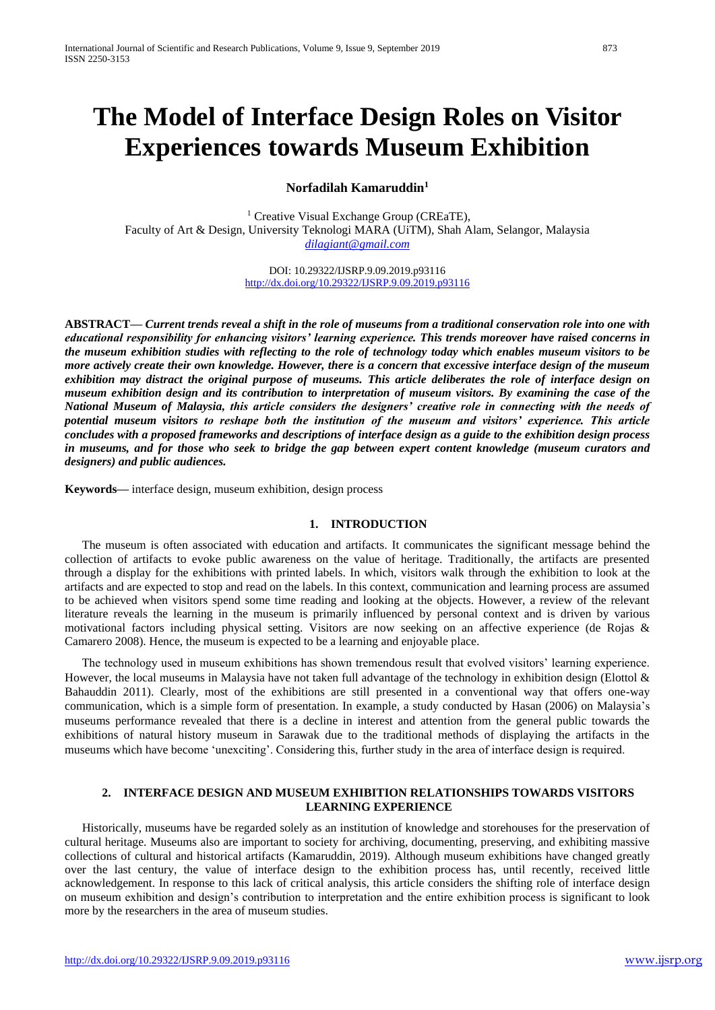# **The Model of Interface Design Roles on Visitor Experiences towards Museum Exhibition**

**Norfadilah Kamaruddin<sup>1</sup>**

<sup>1</sup> Creative Visual Exchange Group (CREaTE), Faculty of Art & Design, University Teknologi MARA (UiTM), Shah Alam, Selangor, Malaysia *[dilagiant@gmail.com](mailto:dilagiant@gmail.com)*

> DOI: 10.29322/IJSRP.9.09.2019.p93116 <http://dx.doi.org/10.29322/IJSRP.9.09.2019.p93116>

**ABSTRACT—** *Current trends reveal a shift in the role of museums from a traditional conservation role into one with educational responsibility for enhancing visitors' learning experience. This trends moreover have raised concerns in the museum exhibition studies with reflecting to the role of technology today which enables museum visitors to be more actively create their own knowledge. However, there is a concern that excessive interface design of the museum exhibition may distract the original purpose of museums. This article deliberates the role of interface design on museum exhibition design and its contribution to interpretation of museum visitors. By examining the case of the National Museum of Malaysia, this article considers the designers' creative role in connecting with the needs of potential museum visitors to reshape both the institution of the museum and visitors' experience. This article concludes with a proposed frameworks and descriptions of interface design as a guide to the exhibition design process in museums, and for those who seek to bridge the gap between expert content knowledge (museum curators and designers) and public audiences.* 

**Keywords—** interface design, museum exhibition, design process

# **1. INTRODUCTION**

The museum is often associated with education and artifacts. It communicates the significant message behind the collection of artifacts to evoke public awareness on the value of heritage. Traditionally, the artifacts are presented through a display for the exhibitions with printed labels. In which, visitors walk through the exhibition to look at the artifacts and are expected to stop and read on the labels. In this context, communication and learning process are assumed to be achieved when visitors spend some time reading and looking at the objects. However, a review of the relevant literature reveals the learning in the museum is primarily influenced by personal context and is driven by various motivational factors including physical setting. Visitors are now seeking on an affective experience (de Rojas & Camarero 2008). Hence, the museum is expected to be a learning and enjoyable place.

The technology used in museum exhibitions has shown tremendous result that evolved visitors' learning experience. However, the local museums in Malaysia have not taken full advantage of the technology in exhibition design (Elottol & Bahauddin 2011). Clearly, most of the exhibitions are still presented in a conventional way that offers one-way communication, which is a simple form of presentation. In example, a study conducted by Hasan (2006) on Malaysia's museums performance revealed that there is a decline in interest and attention from the general public towards the exhibitions of natural history museum in Sarawak due to the traditional methods of displaying the artifacts in the museums which have become 'unexciting'. Considering this, further study in the area of interface design is required.

# **2. INTERFACE DESIGN AND MUSEUM EXHIBITION RELATIONSHIPS TOWARDS VISITORS LEARNING EXPERIENCE**

Historically, museums have be regarded solely as an institution of knowledge and storehouses for the preservation of cultural heritage. Museums also are important to society for archiving, documenting, preserving, and exhibiting massive collections of cultural and historical artifacts (Kamaruddin, 2019). Although museum exhibitions have changed greatly over the last century, the value of interface design to the exhibition process has, until recently, received little acknowledgement. In response to this lack of critical analysis, this article considers the shifting role of interface design on museum exhibition and design's contribution to interpretation and the entire exhibition process is significant to look more by the researchers in the area of museum studies.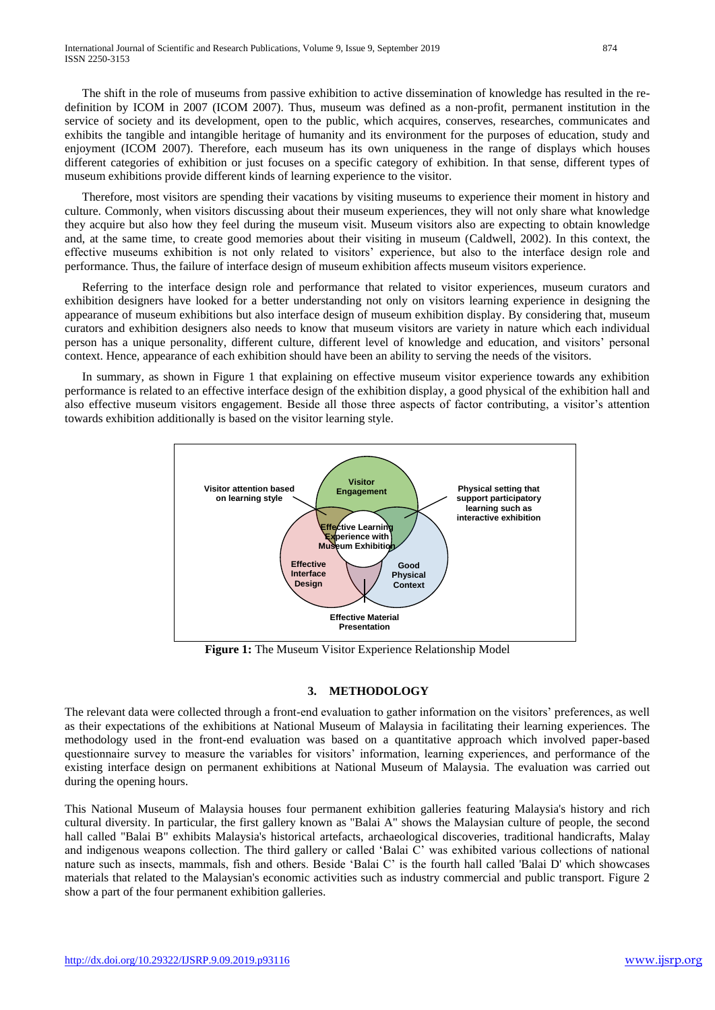The shift in the role of museums from passive exhibition to active dissemination of knowledge has resulted in the redefinition by ICOM in 2007 (ICOM 2007). Thus, museum was defined as a non-profit, permanent institution in the service of society and its development, open to the public, which acquires, conserves, researches, communicates and exhibits the tangible and intangible heritage of humanity and its environment for the purposes of education, study and enjoyment (ICOM 2007). Therefore, each museum has its own uniqueness in the range of displays which houses different categories of exhibition or just focuses on a specific category of exhibition. In that sense, different types of museum exhibitions provide different kinds of learning experience to the visitor.

Therefore, most visitors are spending their vacations by visiting museums to experience their moment in history and culture. Commonly, when visitors discussing about their museum experiences, they will not only share what knowledge they acquire but also how they feel during the museum visit. Museum visitors also are expecting to obtain knowledge and, at the same time, to create good memories about their visiting in museum (Caldwell, 2002). In this context, the effective museums exhibition is not only related to visitors' experience, but also to the interface design role and performance. Thus, the failure of interface design of museum exhibition affects museum visitors experience.

Referring to the interface design role and performance that related to visitor experiences, museum curators and exhibition designers have looked for a better understanding not only on visitors learning experience in designing the appearance of museum exhibitions but also interface design of museum exhibition display. By considering that, museum curators and exhibition designers also needs to know that museum visitors are variety in nature which each individual person has a unique personality, different culture, different level of knowledge and education, and visitors' personal context. Hence, appearance of each exhibition should have been an ability to serving the needs of the visitors.

In summary, as shown in Figure 1 that explaining on effective museum visitor experience towards any exhibition performance is related to an effective interface design of the exhibition display, a good physical of the exhibition hall and also effective museum visitors engagement. Beside all those three aspects of factor contributing, a visitor's attention towards exhibition additionally is based on the visitor learning style.



**Figure 1:** The Museum Visitor Experience Relationship Model

# **3. METHODOLOGY**

The relevant data were collected through a front-end evaluation to gather information on the visitors' preferences, as well as their expectations of the exhibitions at National Museum of Malaysia in facilitating their learning experiences. The methodology used in the front-end evaluation was based on a quantitative approach which involved paper-based questionnaire survey to measure the variables for visitors' information, learning experiences, and performance of the existing interface design on permanent exhibitions at National Museum of Malaysia. The evaluation was carried out during the opening hours.

This National Museum of Malaysia houses four permanent exhibition galleries featuring Malaysia's history and rich cultural diversity. In particular, the first gallery known as "Balai A" shows the Malaysian culture of people, the second hall called "Balai B" exhibits Malaysia's historical artefacts, archaeological discoveries, traditional handicrafts, Malay and indigenous weapons collection. The third gallery or called 'Balai C' was exhibited various collections of national nature such as insects, mammals, fish and others. Beside 'Balai C' is the fourth hall called 'Balai D' which showcases materials that related to the Malaysian's economic activities such as industry commercial and public transport. Figure 2 show a part of the four permanent exhibition galleries.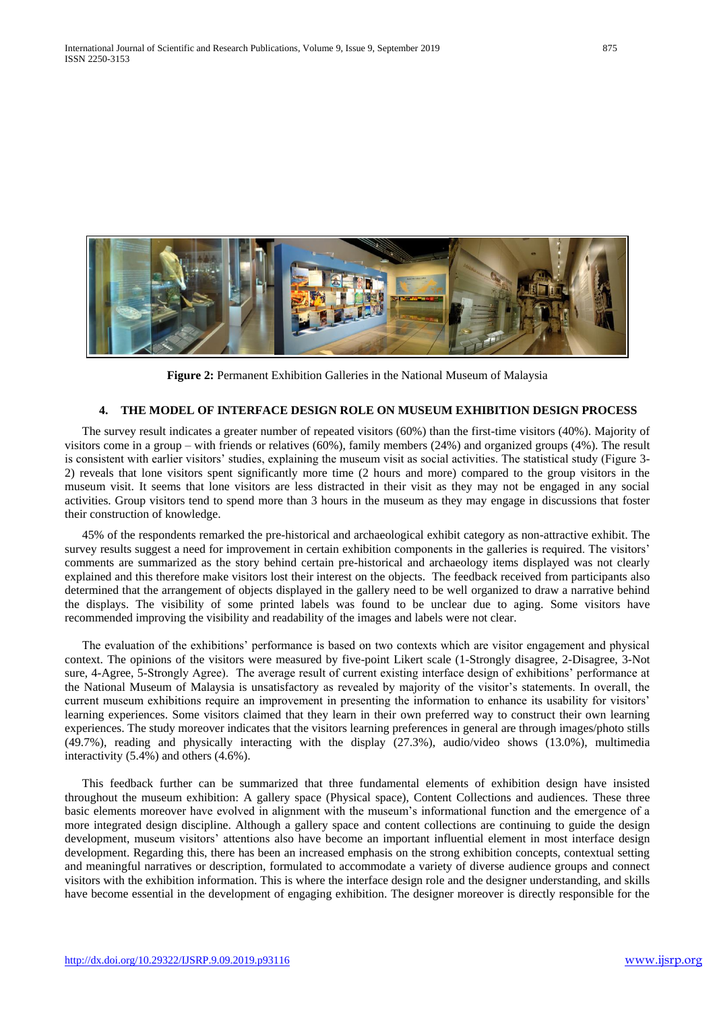

**Figure 2:** Permanent Exhibition Galleries in the National Museum of Malaysia

#### **4. THE MODEL OF INTERFACE DESIGN ROLE ON MUSEUM EXHIBITION DESIGN PROCESS**

The survey result indicates a greater number of repeated visitors (60%) than the first-time visitors (40%). Majority of visitors come in a group – with friends or relatives (60%), family members (24%) and organized groups (4%). The result is consistent with earlier visitors' studies, explaining the museum visit as social activities. The statistical study (Figure 3- 2) reveals that lone visitors spent significantly more time (2 hours and more) compared to the group visitors in the museum visit. It seems that lone visitors are less distracted in their visit as they may not be engaged in any social activities. Group visitors tend to spend more than 3 hours in the museum as they may engage in discussions that foster their construction of knowledge.

45% of the respondents remarked the pre-historical and archaeological exhibit category as non-attractive exhibit. The survey results suggest a need for improvement in certain exhibition components in the galleries is required. The visitors' comments are summarized as the story behind certain pre-historical and archaeology items displayed was not clearly explained and this therefore make visitors lost their interest on the objects. The feedback received from participants also determined that the arrangement of objects displayed in the gallery need to be well organized to draw a narrative behind the displays. The visibility of some printed labels was found to be unclear due to aging. Some visitors have recommended improving the visibility and readability of the images and labels were not clear.

The evaluation of the exhibitions' performance is based on two contexts which are visitor engagement and physical context. The opinions of the visitors were measured by five-point Likert scale (1-Strongly disagree, 2-Disagree, 3-Not sure, 4-Agree, 5-Strongly Agree). The average result of current existing interface design of exhibitions' performance at the National Museum of Malaysia is unsatisfactory as revealed by majority of the visitor's statements. In overall, the current museum exhibitions require an improvement in presenting the information to enhance its usability for visitors' learning experiences. Some visitors claimed that they learn in their own preferred way to construct their own learning experiences. The study moreover indicates that the visitors learning preferences in general are through images/photo stills (49.7%), reading and physically interacting with the display (27.3%), audio/video shows (13.0%), multimedia interactivity (5.4%) and others (4.6%).

This feedback further can be summarized that three fundamental elements of exhibition design have insisted throughout the museum exhibition: A gallery space (Physical space), Content Collections and audiences. These three basic elements moreover have evolved in alignment with the museum's informational function and the emergence of a more integrated design discipline. Although a gallery space and content collections are continuing to guide the design development, museum visitors' attentions also have become an important influential element in most interface design development. Regarding this, there has been an increased emphasis on the strong exhibition concepts, contextual setting and meaningful narratives or description, formulated to accommodate a variety of diverse audience groups and connect visitors with the exhibition information. This is where the interface design role and the designer understanding, and skills have become essential in the development of engaging exhibition. The designer moreover is directly responsible for the